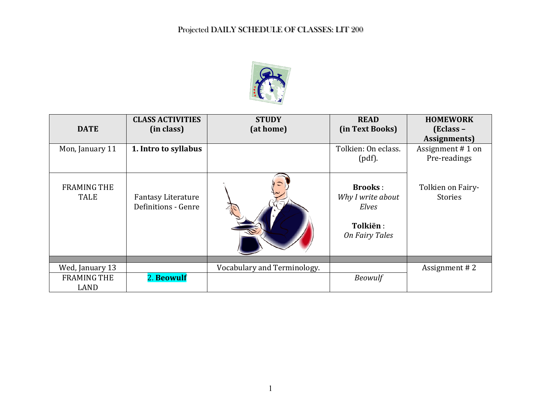

| <b>DATE</b>                       | <b>CLASS ACTIVITIES</b><br>(in class)     | <b>STUDY</b><br>(at home)   | <b>READ</b><br>(in Text Books)                                                    | <b>HOMEWORK</b><br>(Eclass –<br>Assignments) |
|-----------------------------------|-------------------------------------------|-----------------------------|-----------------------------------------------------------------------------------|----------------------------------------------|
| Mon, January 11                   | 1. Intro to syllabus                      |                             | Tolkien: On eclass.<br>$(pdf)$ .                                                  | Assignment #1 on<br>Pre-readings             |
| <b>FRAMING THE</b><br><b>TALE</b> | Fantasy Literature<br>Definitions - Genre |                             | <b>Brooks:</b><br>Why I write about<br>Elves<br>Tolkiën:<br><b>On Fairy Tales</b> | Tolkien on Fairy-<br>Stories                 |
|                                   |                                           |                             |                                                                                   |                                              |
| Wed, January 13                   |                                           | Vocabulary and Terminology. |                                                                                   | Assignment #2                                |
| <b>FRAMING THE</b><br>LAND        | 2. Beowulf                                |                             | <b>Beowulf</b>                                                                    |                                              |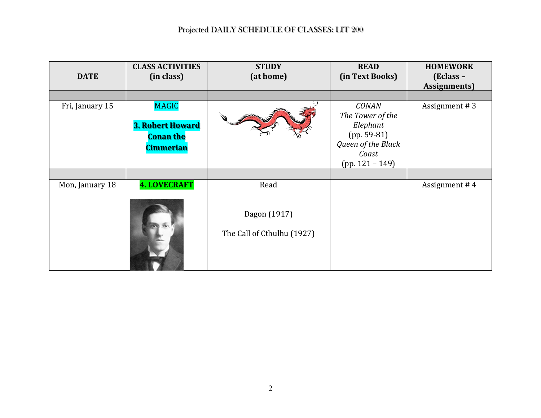| <b>DATE</b>     | <b>CLASS ACTIVITIES</b><br>(in class)                                           | <b>STUDY</b><br>(at home)                  | <b>READ</b><br>(in Text Books)                                                                                    | <b>HOMEWORK</b><br>$\mathbf{[Eclass -}%$<br>Assignments) |
|-----------------|---------------------------------------------------------------------------------|--------------------------------------------|-------------------------------------------------------------------------------------------------------------------|----------------------------------------------------------|
| Fri, January 15 | <b>MAGIC</b><br><b>3. Robert Howard</b><br><b>Conan the</b><br><b>Cimmerian</b> |                                            | <b>CONAN</b><br>The Tower of the<br>Elephant<br>$(pp. 59-81)$<br>Queen of the Black<br>Coast<br>$(pp. 121 - 149)$ | Assignment #3                                            |
|                 |                                                                                 |                                            |                                                                                                                   |                                                          |
| Mon, January 18 | <b>4. LOVECRAFT</b>                                                             | Read                                       |                                                                                                                   | Assignment #4                                            |
|                 |                                                                                 | Dagon (1917)<br>The Call of Cthulhu (1927) |                                                                                                                   |                                                          |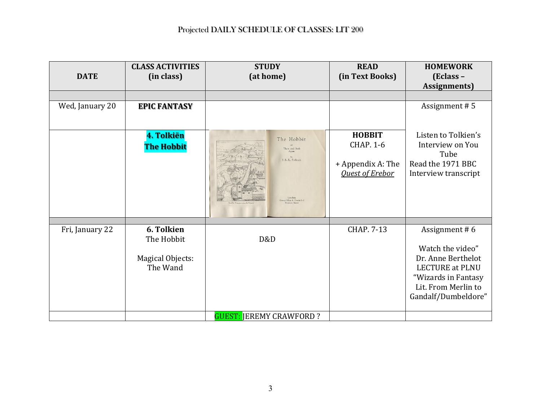| <b>DATE</b>     | <b>CLASS ACTIVITIES</b><br>(in class) | <b>STUDY</b><br>(at home)      | <b>READ</b><br>(in Text Books) | <b>HOMEWORK</b><br>(Eclass -<br><b>Assignments</b> ) |
|-----------------|---------------------------------------|--------------------------------|--------------------------------|------------------------------------------------------|
|                 |                                       |                                |                                |                                                      |
| Wed, January 20 | <b>EPIC FANTASY</b>                   |                                |                                | Assignment #5                                        |
|                 | 4. Tolkiën                            | The Hobbit                     | <b>HOBBIT</b>                  | Listen to Tolkien's                                  |
|                 | The Hobbit                            | There and Back                 | <b>CHAP. 1-6</b>               | Interview on You                                     |
|                 |                                       | Again<br>J. R. R. Tolkien      |                                | Tube                                                 |
|                 |                                       |                                | + Appendix A: The              | Read the 1971 BBC                                    |
|                 |                                       | Allen & Unwin La               | <b>Quest of Erebor</b>         | Interview transcript                                 |
|                 |                                       |                                |                                |                                                      |
| Fri, January 22 | 6. Tolkien                            |                                | <b>CHAP. 7-13</b>              | Assignment #6                                        |
|                 | The Hobbit                            | D&D                            |                                | Watch the video"                                     |
|                 | Magical Objects:                      |                                |                                | Dr. Anne Berthelot                                   |
|                 | The Wand                              |                                |                                | <b>LECTURE at PLNU</b>                               |
|                 |                                       |                                |                                | "Wizards in Fantasy                                  |
|                 |                                       |                                |                                | Lit. From Merlin to                                  |
|                 |                                       |                                |                                | Gandalf/Dumbeldore"                                  |
|                 |                                       | <b>GUEST: JEREMY CRAWFORD?</b> |                                |                                                      |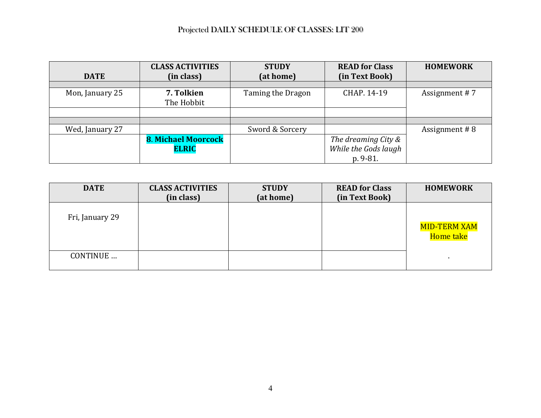|                 | <b>CLASS ACTIVITIES</b>    | <b>STUDY</b>      | <b>READ for Class</b> | <b>HOMEWORK</b> |
|-----------------|----------------------------|-------------------|-----------------------|-----------------|
| <b>DATE</b>     | (in class)                 | (at home)         | (in Text Book)        |                 |
|                 |                            |                   |                       |                 |
| Mon, January 25 | 7. Tolkien                 | Taming the Dragon | CHAP. 14-19           | Assignment #7   |
|                 | The Hobbit                 |                   |                       |                 |
|                 |                            |                   |                       |                 |
|                 |                            |                   |                       |                 |
| Wed, January 27 |                            | Sword & Sorcery   |                       | Assignment #8   |
|                 | <b>8. Michael Moorcock</b> |                   | The dreaming City &   |                 |
|                 | <b>ELRIC</b>               |                   | While the Gods laugh  |                 |
|                 |                            |                   | p. 9-81.              |                 |

| <b>DATE</b>     | <b>CLASS ACTIVITIES</b><br>(in class) | <b>STUDY</b><br>(at home) | <b>READ for Class</b><br>(in Text Book) | <b>HOMEWORK</b>           |
|-----------------|---------------------------------------|---------------------------|-----------------------------------------|---------------------------|
| Fri, January 29 |                                       |                           |                                         | MID-TERM XAM<br>Home take |
| CONTINUE        |                                       |                           |                                         |                           |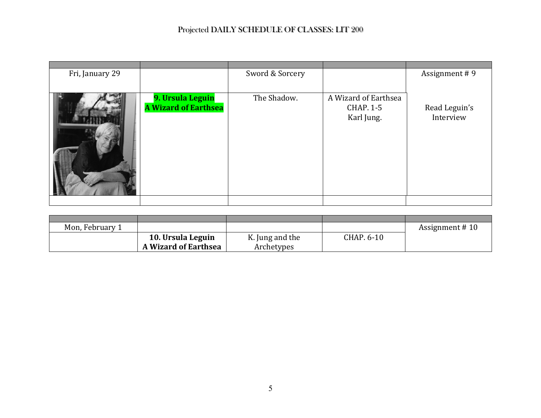| Fri, January 29 |                                                 | Sword & Sorcery |                                                        | Assignment #9              |
|-----------------|-------------------------------------------------|-----------------|--------------------------------------------------------|----------------------------|
|                 | 9. Ursula Leguin<br><b>A Wizard of Earthsea</b> | The Shadow.     | A Wizard of Earthsea<br><b>CHAP. 1-5</b><br>Karl Jung. | Read Leguin's<br>Interview |
|                 |                                                 |                 |                                                        |                            |

| Mon, February 1 |                             |                 |            | Assignment #10 |
|-----------------|-----------------------------|-----------------|------------|----------------|
|                 | 10. Ursula Leguin           | K. Jung and the | CHAP. 6-10 |                |
|                 | <b>A Wizard of Earthsea</b> | Archetypes      |            |                |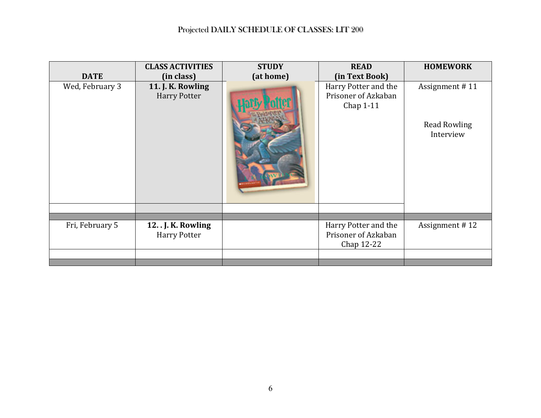| <b>DATE</b><br>(at home)<br>(in Text Book)<br>(in class)<br>Wed, February 3<br>11. J. K. Rowling<br>Harry Potter and the<br>Assignment #11<br>Prisoner of Azkaban<br><b>Harry Potter</b><br>Chap 1-11<br><b>Read Rowling</b><br>Interview<br>Assignment #12<br>Fri, February 5<br>Harry Potter and the<br>12J. K. Rowling<br>Prisoner of Azkaban<br><b>Harry Potter</b><br>Chap 12-22 | <b>CLASS ACTIVITIES</b> | <b>STUDY</b> | <b>READ</b> | <b>HOMEWORK</b> |
|---------------------------------------------------------------------------------------------------------------------------------------------------------------------------------------------------------------------------------------------------------------------------------------------------------------------------------------------------------------------------------------|-------------------------|--------------|-------------|-----------------|
|                                                                                                                                                                                                                                                                                                                                                                                       |                         |              |             |                 |
|                                                                                                                                                                                                                                                                                                                                                                                       |                         |              |             |                 |
|                                                                                                                                                                                                                                                                                                                                                                                       |                         |              |             |                 |
|                                                                                                                                                                                                                                                                                                                                                                                       |                         |              |             |                 |
|                                                                                                                                                                                                                                                                                                                                                                                       |                         |              |             |                 |